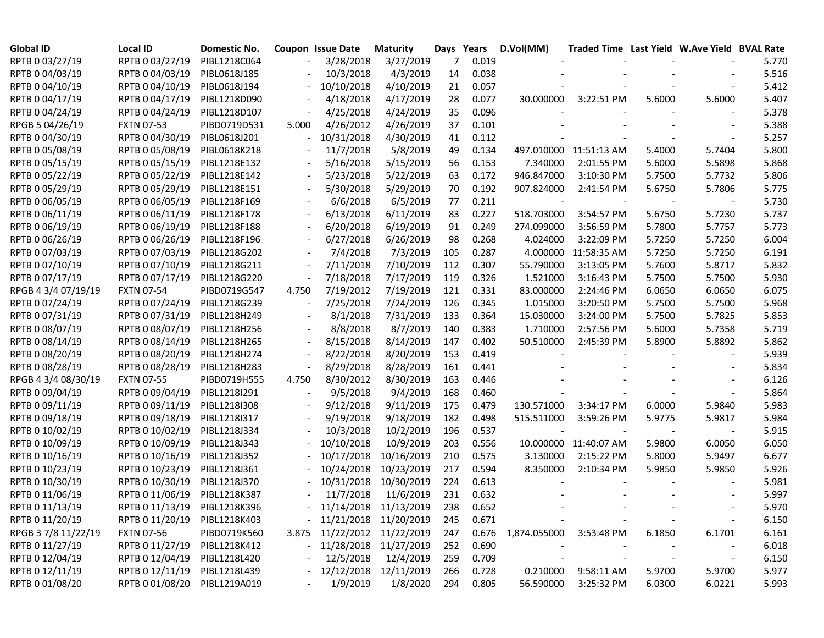| <b>Global ID</b>    | Local ID                     | Domestic No. |       | Coupon Issue Date | <b>Maturity</b>             |     | Days Years | D.Vol(MM)               | Traded Time Last Yield W.Ave Yield BVAL Rate |        |        |       |
|---------------------|------------------------------|--------------|-------|-------------------|-----------------------------|-----|------------|-------------------------|----------------------------------------------|--------|--------|-------|
| RPTB 0 03/27/19     | RPTB 0 03/27/19              | PIBL1218C064 |       | 3/28/2018         | 3/27/2019                   | 7   | 0.019      |                         |                                              |        |        | 5.770 |
| RPTB 0 04/03/19     | RPTB 0 04/03/19              | PIBL0618J185 |       | 10/3/2018         | 4/3/2019                    | 14  | 0.038      |                         |                                              |        |        | 5.516 |
| RPTB 0 04/10/19     | RPTB 0 04/10/19              | PIBL0618J194 |       | 10/10/2018        | 4/10/2019                   | 21  | 0.057      |                         |                                              |        |        | 5.412 |
| RPTB 0 04/17/19     | RPTB 0 04/17/19              | PIBL1218D090 |       | 4/18/2018         | 4/17/2019                   | 28  | 0.077      | 30.000000               | 3:22:51 PM                                   | 5.6000 | 5.6000 | 5.407 |
| RPTB 0 04/24/19     | RPTB 0 04/24/19              | PIBL1218D107 |       | 4/25/2018         | 4/24/2019                   | 35  | 0.096      |                         |                                              |        |        | 5.378 |
| RPGB 5 04/26/19     | <b>FXTN 07-53</b>            | PIBD0719D531 | 5.000 | 4/26/2012         | 4/26/2019                   | 37  | 0.101      |                         |                                              |        |        | 5.388 |
| RPTB 0 04/30/19     | RPTB 0 04/30/19              | PIBL0618J201 |       | 10/31/2018        | 4/30/2019                   | 41  | 0.112      |                         |                                              |        |        | 5.257 |
| RPTB 0 05/08/19     | RPTB 0 05/08/19              | PIBL0618K218 |       | 11/7/2018         | 5/8/2019                    | 49  | 0.134      |                         | 497.010000 11:51:13 AM                       | 5.4000 | 5.7404 | 5.800 |
| RPTB 0 05/15/19     | RPTB 0 05/15/19              | PIBL1218E132 |       | 5/16/2018         | 5/15/2019                   | 56  | 0.153      | 7.340000                | 2:01:55 PM                                   | 5.6000 | 5.5898 | 5.868 |
| RPTB 0 05/22/19     | RPTB 0 05/22/19              | PIBL1218E142 |       | 5/23/2018         | 5/22/2019                   | 63  | 0.172      | 946.847000              | 3:10:30 PM                                   | 5.7500 | 5.7732 | 5.806 |
| RPTB 0 05/29/19     | RPTB 0 05/29/19              | PIBL1218E151 |       | 5/30/2018         | 5/29/2019                   | 70  | 0.192      | 907.824000              | 2:41:54 PM                                   | 5.6750 | 5.7806 | 5.775 |
| RPTB 0 06/05/19     | RPTB 0 06/05/19              | PIBL1218F169 |       | 6/6/2018          | 6/5/2019                    | 77  | 0.211      |                         |                                              |        |        | 5.730 |
| RPTB 0 06/11/19     | RPTB 0 06/11/19              | PIBL1218F178 |       | 6/13/2018         | 6/11/2019                   | 83  | 0.227      | 518.703000              | 3:54:57 PM                                   | 5.6750 | 5.7230 | 5.737 |
| RPTB 0 06/19/19     | RPTB 0 06/19/19              | PIBL1218F188 |       | 6/20/2018         | 6/19/2019                   | 91  | 0.249      | 274.099000              | 3:56:59 PM                                   | 5.7800 | 5.7757 | 5.773 |
| RPTB 0 06/26/19     | RPTB 0 06/26/19              | PIBL1218F196 |       | 6/27/2018         | 6/26/2019                   | 98  | 0.268      | 4.024000                | 3:22:09 PM                                   | 5.7250 | 5.7250 | 6.004 |
| RPTB 0 07/03/19     | RPTB 0 07/03/19              | PIBL1218G202 |       | 7/4/2018          | 7/3/2019                    | 105 | 0.287      |                         | 4.000000 11:58:35 AM                         | 5.7250 | 5.7250 | 6.191 |
| RPTB 0 07/10/19     | RPTB 0 07/10/19              | PIBL1218G211 |       | 7/11/2018         | 7/10/2019                   | 112 | 0.307      | 55.790000               | 3:13:05 PM                                   | 5.7600 | 5.8717 | 5.832 |
| RPTB 0 07/17/19     | RPTB 0 07/17/19              | PIBL1218G220 |       | 7/18/2018         | 7/17/2019                   | 119 | 0.326      | 1.521000                | 3:16:43 PM                                   | 5.7500 | 5.7500 | 5.930 |
| RPGB 4 3/4 07/19/19 | <b>FXTN 07-54</b>            | PIBD0719G547 | 4.750 | 7/19/2012         | 7/19/2019                   | 121 | 0.331      | 83.000000               | 2:24:46 PM                                   | 6.0650 | 6.0650 | 6.075 |
| RPTB 0 07/24/19     | RPTB 0 07/24/19              | PIBL1218G239 |       | 7/25/2018         | 7/24/2019                   | 126 | 0.345      | 1.015000                | 3:20:50 PM                                   | 5.7500 | 5.7500 | 5.968 |
| RPTB 0 07/31/19     | RPTB 0 07/31/19              | PIBL1218H249 |       | 8/1/2018          | 7/31/2019                   | 133 | 0.364      | 15.030000               | 3:24:00 PM                                   | 5.7500 | 5.7825 | 5.853 |
| RPTB 0 08/07/19     | RPTB 0 08/07/19              | PIBL1218H256 |       | 8/8/2018          | 8/7/2019                    | 140 | 0.383      | 1.710000                | 2:57:56 PM                                   | 5.6000 | 5.7358 | 5.719 |
| RPTB 0 08/14/19     | RPTB 0 08/14/19              | PIBL1218H265 |       | 8/15/2018         | 8/14/2019                   | 147 | 0.402      | 50.510000               | 2:45:39 PM                                   | 5.8900 | 5.8892 | 5.862 |
| RPTB 0 08/20/19     | RPTB 0 08/20/19              | PIBL1218H274 |       | 8/22/2018         | 8/20/2019                   | 153 | 0.419      |                         |                                              |        |        | 5.939 |
| RPTB 0 08/28/19     | RPTB 0 08/28/19              | PIBL1218H283 |       | 8/29/2018         | 8/28/2019                   | 161 | 0.441      |                         |                                              |        |        | 5.834 |
| RPGB 4 3/4 08/30/19 | <b>FXTN 07-55</b>            | PIBD0719H555 | 4.750 | 8/30/2012         | 8/30/2019                   | 163 | 0.446      |                         |                                              |        |        | 6.126 |
| RPTB 0 09/04/19     | RPTB 0 09/04/19              | PIBL1218I291 |       | 9/5/2018          | 9/4/2019                    | 168 | 0.460      |                         |                                              |        |        | 5.864 |
| RPTB 0 09/11/19     | RPTB 0 09/11/19              | PIBL1218I308 |       | 9/12/2018         | 9/11/2019                   | 175 | 0.479      | 130.571000              | 3:34:17 PM                                   | 6.0000 | 5.9840 | 5.983 |
| RPTB 0 09/18/19     | RPTB 0 09/18/19              | PIBL1218I317 |       | 9/19/2018         | 9/18/2019                   | 182 | 0.498      | 515.511000              | 3:59:26 PM                                   | 5.9775 | 5.9817 | 5.984 |
| RPTB 0 10/02/19     | RPTB 0 10/02/19              | PIBL1218J334 |       | 10/3/2018         | 10/2/2019                   | 196 | 0.537      |                         |                                              |        |        | 5.915 |
| RPTB 0 10/09/19     | RPTB 0 10/09/19              | PIBL1218J343 |       | 10/10/2018        | 10/9/2019                   | 203 | 0.556      |                         | 10.000000 11:40:07 AM                        | 5.9800 | 6.0050 | 6.050 |
| RPTB 0 10/16/19     | RPTB 0 10/16/19              | PIBL1218J352 |       | 10/17/2018        | 10/16/2019                  | 210 | 0.575      | 3.130000                | 2:15:22 PM                                   | 5.8000 | 5.9497 | 6.677 |
| RPTB 0 10/23/19     | RPTB 0 10/23/19              | PIBL1218J361 |       | 10/24/2018        | 10/23/2019                  | 217 | 0.594      | 8.350000                | 2:10:34 PM                                   | 5.9850 | 5.9850 | 5.926 |
| RPTB 0 10/30/19     | RPTB 0 10/30/19              | PIBL1218J370 |       | 10/31/2018        | 10/30/2019                  | 224 | 0.613      |                         |                                              |        |        | 5.981 |
| RPTB 0 11/06/19     | RPTB 0 11/06/19              | PIBL1218K387 |       | 11/7/2018         | 11/6/2019                   | 231 | 0.632      |                         |                                              |        |        | 5.997 |
| RPTB 0 11/13/19     | RPTB 0 11/13/19              | PIBL1218K396 |       |                   | - 11/14/2018 11/13/2019     | 238 | 0.652      |                         |                                              |        |        | 5.970 |
| RPTB 0 11/20/19     | RPTB 0 11/20/19              | PIBL1218K403 |       |                   | - 11/21/2018 11/20/2019     | 245 | 0.671      |                         |                                              |        |        | 6.150 |
| RPGB 37/8 11/22/19  | <b>FXTN 07-56</b>            | PIBD0719K560 |       |                   | 3.875 11/22/2012 11/22/2019 | 247 | 0.676      | 1,874.055000 3:53:48 PM |                                              | 6.1850 | 6.1701 | 6.161 |
| RPTB 0 11/27/19     | RPTB 0 11/27/19 PIBL1218K412 |              |       |                   | - 11/28/2018 11/27/2019     | 252 | 0.690      |                         |                                              |        |        | 6.018 |
| RPTB 0 12/04/19     | RPTB 0 12/04/19              | PIBL1218L420 |       | 12/5/2018         | 12/4/2019                   | 259 | 0.709      |                         |                                              |        |        | 6.150 |
| RPTB 0 12/11/19     | RPTB 0 12/11/19              | PIBL1218L439 |       | $-12/12/2018$     | 12/11/2019                  | 266 | 0.728      | 0.210000                | 9:58:11 AM                                   | 5.9700 | 5.9700 | 5.977 |
| RPTB 0 01/08/20     | RPTB 0 01/08/20              | PIBL1219A019 |       | 1/9/2019          | 1/8/2020                    | 294 | 0.805      | 56.590000               | 3:25:32 PM                                   | 6.0300 | 6.0221 | 5.993 |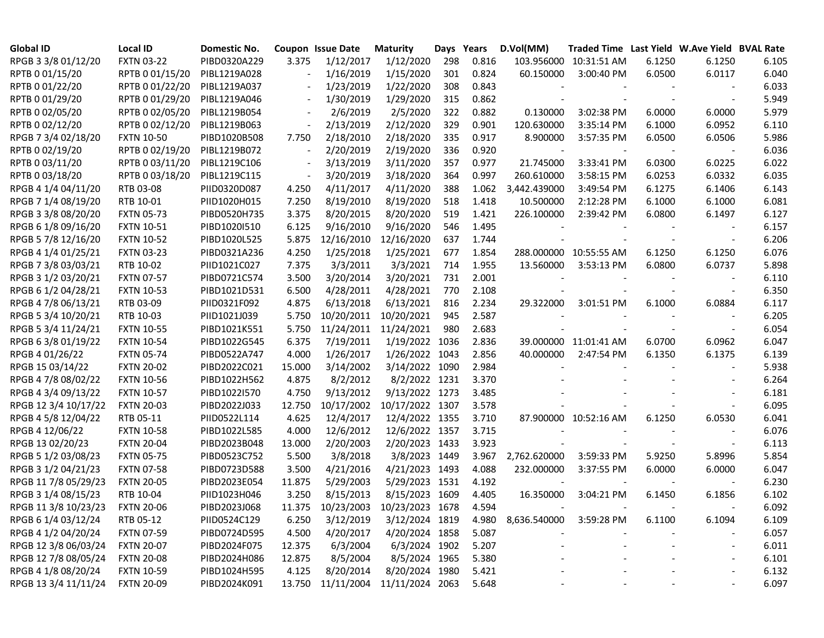| <b>Global ID</b>     | <b>Local ID</b>   | Domestic No. |        | Coupon Issue Date | <b>Maturity</b> |     | Days Years | D.Vol(MM)    | Traded Time Last Yield W.Ave Yield BVAL Rate |        |                          |       |
|----------------------|-------------------|--------------|--------|-------------------|-----------------|-----|------------|--------------|----------------------------------------------|--------|--------------------------|-------|
| RPGB 3 3/8 01/12/20  | <b>FXTN 03-22</b> | PIBD0320A229 | 3.375  | 1/12/2017         | 1/12/2020       | 298 | 0.816      | 103.956000   | 10:31:51 AM                                  | 6.1250 | 6.1250                   | 6.105 |
| RPTB 0 01/15/20      | RPTB 0 01/15/20   | PIBL1219A028 |        | 1/16/2019         | 1/15/2020       | 301 | 0.824      | 60.150000    | 3:00:40 PM                                   | 6.0500 | 6.0117                   | 6.040 |
| RPTB 0 01/22/20      | RPTB 0 01/22/20   | PIBL1219A037 |        | 1/23/2019         | 1/22/2020       | 308 | 0.843      |              |                                              |        |                          | 6.033 |
| RPTB 0 01/29/20      | RPTB 0 01/29/20   | PIBL1219A046 |        | 1/30/2019         | 1/29/2020       | 315 | 0.862      |              |                                              |        |                          | 5.949 |
| RPTB 0 02/05/20      | RPTB 0 02/05/20   | PIBL1219B054 |        | 2/6/2019          | 2/5/2020        | 322 | 0.882      | 0.130000     | 3:02:38 PM                                   | 6.0000 | 6.0000                   | 5.979 |
| RPTB 0 02/12/20      | RPTB 0 02/12/20   | PIBL1219B063 |        | 2/13/2019         | 2/12/2020       | 329 | 0.901      | 120.630000   | 3:35:14 PM                                   | 6.1000 | 6.0952                   | 6.110 |
| RPGB 7 3/4 02/18/20  | <b>FXTN 10-50</b> | PIBD1020B508 | 7.750  | 2/18/2010         | 2/18/2020       | 335 | 0.917      | 8.900000     | 3:57:35 PM                                   | 6.0500 | 6.0506                   | 5.986 |
| RPTB 0 02/19/20      | RPTB 0 02/19/20   | PIBL1219B072 |        | 2/20/2019         | 2/19/2020       | 336 | 0.920      |              |                                              |        |                          | 6.036 |
| RPTB 0 03/11/20      | RPTB 0 03/11/20   | PIBL1219C106 |        | 3/13/2019         | 3/11/2020       | 357 | 0.977      | 21.745000    | 3:33:41 PM                                   | 6.0300 | 6.0225                   | 6.022 |
| RPTB 0 03/18/20      | RPTB 0 03/18/20   | PIBL1219C115 |        | 3/20/2019         | 3/18/2020       | 364 | 0.997      | 260.610000   | 3:58:15 PM                                   | 6.0253 | 6.0332                   | 6.035 |
| RPGB 4 1/4 04/11/20  | RTB 03-08         | PIID0320D087 | 4.250  | 4/11/2017         | 4/11/2020       | 388 | 1.062      | 3,442.439000 | 3:49:54 PM                                   | 6.1275 | 6.1406                   | 6.143 |
| RPGB 7 1/4 08/19/20  | RTB 10-01         | PIID1020H015 | 7.250  | 8/19/2010         | 8/19/2020       | 518 | 1.418      | 10.500000    | 2:12:28 PM                                   | 6.1000 | 6.1000                   | 6.081 |
| RPGB 3 3/8 08/20/20  | <b>FXTN 05-73</b> | PIBD0520H735 | 3.375  | 8/20/2015         | 8/20/2020       | 519 | 1.421      | 226.100000   | 2:39:42 PM                                   | 6.0800 | 6.1497                   | 6.127 |
| RPGB 6 1/8 09/16/20  | <b>FXTN 10-51</b> | PIBD1020I510 | 6.125  | 9/16/2010         | 9/16/2020       | 546 | 1.495      |              |                                              |        |                          | 6.157 |
| RPGB 5 7/8 12/16/20  | <b>FXTN 10-52</b> | PIBD1020L525 | 5.875  | 12/16/2010        | 12/16/2020      | 637 | 1.744      |              |                                              |        |                          | 6.206 |
| RPGB 4 1/4 01/25/21  | <b>FXTN 03-23</b> | PIBD0321A236 | 4.250  | 1/25/2018         | 1/25/2021       | 677 | 1.854      |              | 288.000000 10:55:55 AM                       | 6.1250 | 6.1250                   | 6.076 |
| RPGB 7 3/8 03/03/21  | RTB 10-02         | PIID1021C027 | 7.375  | 3/3/2011          | 3/3/2021        | 714 | 1.955      | 13.560000    | 3:53:13 PM                                   | 6.0800 | 6.0737                   | 5.898 |
| RPGB 3 1/2 03/20/21  | <b>FXTN 07-57</b> | PIBD0721C574 | 3.500  | 3/20/2014         | 3/20/2021       | 731 | 2.001      |              |                                              |        |                          | 6.110 |
| RPGB 6 1/2 04/28/21  | <b>FXTN 10-53</b> | PIBD1021D531 | 6.500  | 4/28/2011         | 4/28/2021       | 770 | 2.108      |              |                                              |        |                          | 6.350 |
| RPGB 4 7/8 06/13/21  | RTB 03-09         | PIID0321F092 | 4.875  | 6/13/2018         | 6/13/2021       | 816 | 2.234      | 29.322000    | 3:01:51 PM                                   | 6.1000 | 6.0884                   | 6.117 |
| RPGB 5 3/4 10/20/21  | RTB 10-03         | PIID1021J039 | 5.750  | 10/20/2011        | 10/20/2021      | 945 | 2.587      |              |                                              |        |                          | 6.205 |
| RPGB 5 3/4 11/24/21  | <b>FXTN 10-55</b> | PIBD1021K551 | 5.750  | 11/24/2011        | 11/24/2021      | 980 | 2.683      |              |                                              |        |                          | 6.054 |
| RPGB 63/8 01/19/22   | <b>FXTN 10-54</b> | PIBD1022G545 | 6.375  | 7/19/2011         | 1/19/2022 1036  |     | 2.836      |              | 39.000000 11:01:41 AM                        | 6.0700 | 6.0962                   | 6.047 |
| RPGB 4 01/26/22      | <b>FXTN 05-74</b> | PIBD0522A747 | 4.000  | 1/26/2017         | 1/26/2022 1043  |     | 2.856      | 40.000000    | 2:47:54 PM                                   | 6.1350 | 6.1375                   | 6.139 |
| RPGB 15 03/14/22     | <b>FXTN 20-02</b> | PIBD2022C021 | 15.000 | 3/14/2002         | 3/14/2022 1090  |     | 2.984      |              |                                              |        |                          | 5.938 |
| RPGB 4 7/8 08/02/22  | <b>FXTN 10-56</b> | PIBD1022H562 | 4.875  | 8/2/2012          | 8/2/2022 1231   |     | 3.370      |              |                                              |        |                          | 6.264 |
| RPGB 4 3/4 09/13/22  | <b>FXTN 10-57</b> | PIBD1022I570 | 4.750  | 9/13/2012         | 9/13/2022 1273  |     | 3.485      |              |                                              |        |                          | 6.181 |
| RPGB 12 3/4 10/17/22 | <b>FXTN 20-03</b> | PIBD2022J033 | 12.750 | 10/17/2002        | 10/17/2022 1307 |     | 3.578      |              |                                              |        |                          | 6.095 |
| RPGB 4 5/8 12/04/22  | RTB 05-11         | PIID0522L114 | 4.625  | 12/4/2017         | 12/4/2022 1355  |     | 3.710      |              | 87.900000 10:52:16 AM                        | 6.1250 | 6.0530                   | 6.041 |
| RPGB 4 12/06/22      | <b>FXTN 10-58</b> | PIBD1022L585 | 4.000  | 12/6/2012         | 12/6/2022 1357  |     | 3.715      |              |                                              |        |                          | 6.076 |
| RPGB 13 02/20/23     | <b>FXTN 20-04</b> | PIBD2023B048 | 13.000 | 2/20/2003         | 2/20/2023 1433  |     | 3.923      |              |                                              |        |                          | 6.113 |
| RPGB 5 1/2 03/08/23  | <b>FXTN 05-75</b> | PIBD0523C752 | 5.500  | 3/8/2018          | 3/8/2023 1449   |     | 3.967      | 2,762.620000 | 3:59:33 PM                                   | 5.9250 | 5.8996                   | 5.854 |
| RPGB 3 1/2 04/21/23  | <b>FXTN 07-58</b> | PIBD0723D588 | 3.500  | 4/21/2016         | 4/21/2023 1493  |     | 4.088      | 232.000000   | 3:37:55 PM                                   | 6.0000 | 6.0000                   | 6.047 |
| RPGB 11 7/8 05/29/23 | <b>FXTN 20-05</b> | PIBD2023E054 | 11.875 | 5/29/2003         | 5/29/2023 1531  |     | 4.192      |              |                                              |        | $\overline{\phantom{a}}$ | 6.230 |
| RPGB 3 1/4 08/15/23  | RTB 10-04         | PIID1023H046 | 3.250  | 8/15/2013         | 8/15/2023 1609  |     | 4.405      | 16.350000    | 3:04:21 PM                                   | 6.1450 | 6.1856                   | 6.102 |
| RPGB 11 3/8 10/23/23 | <b>FXTN 20-06</b> | PIBD2023J068 |        | 11.375 10/23/2003 | 10/23/2023 1678 |     | 4.594      |              |                                              |        |                          | 6.092 |
| RPGB 6 1/4 03/12/24  | RTB 05-12         | PIID0524C129 | 6.250  | 3/12/2019         | 3/12/2024 1819  |     | 4.980      | 8,636.540000 | 3:59:28 PM                                   | 6.1100 | 6.1094                   | 6.109 |
| RPGB 4 1/2 04/20/24  | <b>FXTN 07-59</b> | PIBD0724D595 | 4.500  | 4/20/2017         | 4/20/2024 1858  |     | 5.087      |              |                                              |        |                          | 6.057 |
| RPGB 12 3/8 06/03/24 | <b>FXTN 20-07</b> | PIBD2024F075 | 12.375 | 6/3/2004          | 6/3/2024 1902   |     | 5.207      |              |                                              |        | $\overline{\phantom{a}}$ | 6.011 |
| RPGB 12 7/8 08/05/24 | <b>FXTN 20-08</b> | PIBD2024H086 | 12.875 | 8/5/2004          | 8/5/2024 1965   |     | 5.380      |              |                                              |        |                          | 6.101 |
| RPGB 4 1/8 08/20/24  | <b>FXTN 10-59</b> | PIBD1024H595 | 4.125  | 8/20/2014         | 8/20/2024 1980  |     | 5.421      |              |                                              |        |                          | 6.132 |
| RPGB 13 3/4 11/11/24 | <b>FXTN 20-09</b> | PIBD2024K091 | 13.750 | 11/11/2004        | 11/11/2024 2063 |     | 5.648      |              |                                              |        |                          | 6.097 |